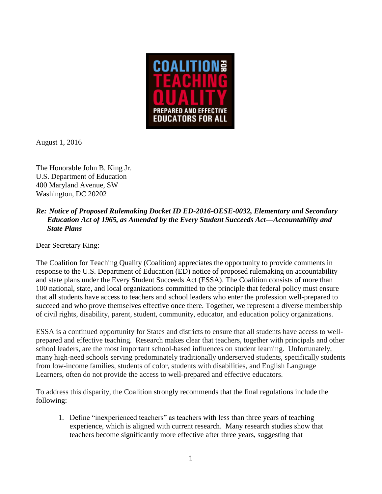

August 1, 2016

The Honorable John B. King Jr. U.S. Department of Education 400 Maryland Avenue, SW Washington, DC 20202

## *Re: Notice of Proposed Rulemaking Docket ID ED-2016-OESE-0032, Elementary and Secondary Education Act of 1965, as Amended by the Every Student Succeeds Act—Accountability and State Plans*

Dear Secretary King:

The Coalition for Teaching Quality (Coalition) appreciates the opportunity to provide comments in response to the U.S. Department of Education (ED) notice of proposed rulemaking on accountability and state plans under the Every Student Succeeds Act (ESSA). The Coalition consists of more than 100 national, state, and local organizations committed to the principle that federal policy must ensure that all students have access to teachers and school leaders who enter the profession well-prepared to succeed and who prove themselves effective once there. Together, we represent a diverse membership of civil rights, disability, parent, student, community, educator, and education policy organizations.

ESSA is a continued opportunity for States and districts to ensure that all students have access to wellprepared and effective teaching. Research makes clear that teachers, together with principals and other school leaders, are the most important school-based influences on student learning. Unfortunately, many high-need schools serving predominately traditionally underserved students, specifically students from low-income families, students of color, students with disabilities, and English Language Learners, often do not provide the access to well-prepared and effective educators.

To address this disparity, the Coalition strongly recommends that the final regulations include the following:

1. Define "inexperienced teachers" as teachers with less than three years of teaching experience, which is aligned with current research. Many research studies show that teachers become significantly more effective after three years, suggesting that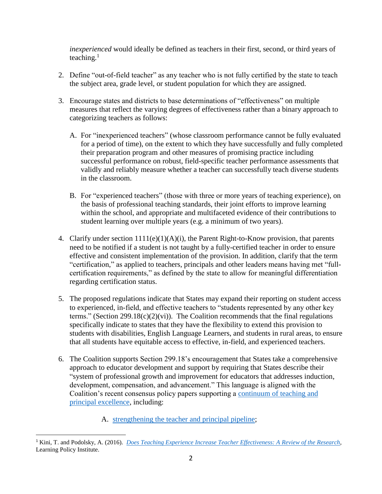*inexperienced* would ideally be defined as teachers in their first, second, or third years of teaching.<sup>1</sup>

- 2. Define "out-of-field teacher" as any teacher who is not fully certified by the state to teach the subject area, grade level, or student population for which they are assigned.
- 3. Encourage states and districts to base determinations of "effectiveness" on multiple measures that reflect the varying degrees of effectiveness rather than a binary approach to categorizing teachers as follows:
	- A. For "inexperienced teachers" (whose classroom performance cannot be fully evaluated for a period of time), on the extent to which they have successfully and fully completed their preparation program and other measures of promising practice including successful performance on robust, field-specific teacher performance assessments that validly and reliably measure whether a teacher can successfully teach diverse students in the classroom.
	- B. For "experienced teachers" (those with three or more years of teaching experience), on the basis of professional teaching standards, their joint efforts to improve learning within the school, and appropriate and multifaceted evidence of their contributions to student learning over multiple years (e.g. a minimum of two years).
- 4. Clarify under section 1111(e)(1)(A)(i), the Parent Right-to-Know provision, that parents need to be notified if a student is not taught by a fully-certified teacher in order to ensure effective and consistent implementation of the provision. In addition, clarify that the term "certification," as applied to teachers, principals and other leaders means having met "fullcertification requirements," as defined by the state to allow for meaningful differentiation regarding certification status.
- 5. The proposed regulations indicate that States may expand their reporting on student access to experienced, in-field, and effective teachers to "students represented by any other key terms." (Section 299.18(c)(2)(vi)). The Coalition recommends that the final regulations specifically indicate to states that they have the flexibility to extend this provision to students with disabilities, English Language Learners, and students in rural areas, to ensure that all students have equitable access to effective, in-field, and experienced teachers.
- 6. The Coalition supports Section 299.18's encouragement that States take a comprehensive approach to educator development and support by requiring that States describe their "system of professional growth and improvement for educators that addresses induction, development, compensation, and advancement." This language is aligned with the Coalition's recent consensus policy papers supporting a [continuum of teaching and](http://coalitionforteachingquality.org/main/index.cfm?ID=7)  [principal excellence,](http://coalitionforteachingquality.org/main/index.cfm?ID=7) including:

A. [strengthening the teacher and principal pipeline;](http://coalitionforteachingquality.org/main/index.cfm?ID=11)

 $\overline{a}$ <sup>1</sup> Kini, T. and Podolsky, A. (2016). *[Does Teaching Experience Increase Teacher Effectiveness: A Review of the Research](https://learningpolicyinstitute.org/our-work/publications-resources/does-teaching-experience-increase-teacher-effectiveness-review-research/)*, Learning Policy Institute.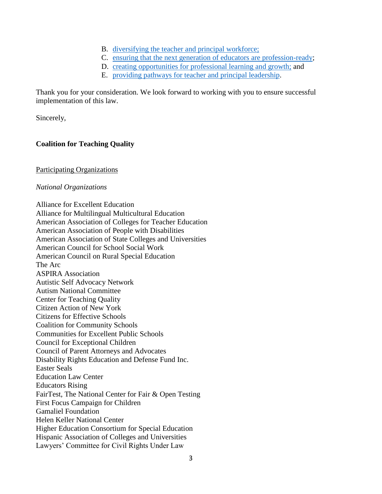- B. [diversifying the teacher and principal](http://coalitionforteachingquality.org/main/index.cfm?ID=11) workforce;
- C. [ensuring that the next generation of educators are profession-ready;](http://coalitionforteachingquality.org/main/index.cfm?ID=8)
- D. [creating opportunities for professional learning and growth;](http://coalitionforteachingquality.org/main/index.cfm?ID=9) and
- E. [providing pathways for teacher and principal leadership.](http://coalitionforteachingquality.org/main/index.cfm?ID=10)

Thank you for your consideration. We look forward to working with you to ensure successful implementation of this law.

Sincerely,

## **Coalition for Teaching Quality**

## Participating Organizations

## *National Organizations*

[Alliance for Excellent Education](http://all4ed.org/) Alliance for Multilingual Multicultural Education [American Association of Colleges for Teacher Education](http://aacte.org/) [American Association of People with Disabilities](http://www.aapd.com/) [American Association of State Colleges and Universities](http://www.aascu.org/) [American Council for School Social Work](http://acssw.org/) [American Council on Rural Special Education](http://acres-sped.org/) The Arc [ASPIRA Association](http://www.aspira.org/) [Autistic Self Advocacy Network](http://autisticadvocacy.org/) [Autism National Committee](http://www.autcom.org/) [Center for Teaching Quality](http://www.teachingquality.org/) [Citizen Action of New York](http://citizenactionny.org/) [Citizens for Effective Schools](http://www.citizenseffectiveschools.org/) [Coalition for Community Schools](http://www.communityschools.org/) [Communities for Excellent Public Schools](http://www.excellentpublicschools.org/) [Council for Exceptional Children](http://www.cec.sped.org/) [Council of Parent Attorneys and Advocates](http://www.copaa.org/) [Disability Rights Education and Defense Fund Inc.](http://dredf.org/) [Easter Seals](http://www.easterseals.com/) [Education Law Center](http://www.edlawcenter.org/) [Educators Rising](https://www.educatorsrising.org/) [FairTest, The National Center for Fair & Open Testing](http://www.fairtest.org/) [First Focus Campaign for Children](http://www.ffcampaignforchildren.org/) [Gamaliel Foundation](http://www.gamaliel.org/) [Helen Keller National Center](http://www.hknc.org/) [Higher Education Consortium for Special Education](http://hecse.net/) Hispanic Association of Colleges and Universities [Lawyers' Committee for Civil Rights Under Law](http://www.lawyerscommittee.org/)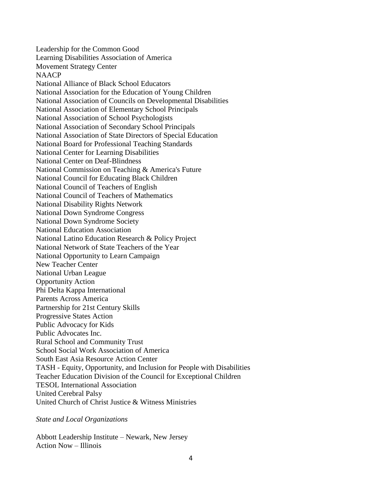[Leadership for the Common Good](http://www.commongoodcenter.org/) [Learning Disabilities Association of America](http://www.ldanatl.org/) [Movement Strategy Center](http://movementstrategy.org/) **[NAACP](http://naacp.org/)** [National Alliance of Black School Educators](http://coalitionforteachingquality.org/) [National Association for the Education of Young Children](https://www.educatorsrising.org/) [National Association of Councils on Developmental Disabilities](http://coalitionforteachingquality.org/) [National Association of Elementary School Principals](http://coalitionforteachingquality.org/) [National Association of School Psychologists](http://coalitionforteachingquality.org/) [National Association of Secondary School Principals](http://coalitionforteachingquality.org/) [National Association of State Directors of Special Education](http://coalitionforteachingquality.org/) [National Board for Professional Teaching Standards](http://www.nbpts.org/) [National Center for Learning Disabilities](http://coalitionforteachingquality.org/) National Center on Deaf-Blindness [National Commission on Teaching & America's Future](http://nctaf.org/) [National Council for Educating Black Children](http://coalitionforteachingquality.org/) [National Council of Teachers of English](http://coalitionforteachingquality.org/) [National Council of Teachers of Mathematics](http://coalitionforteachingquality.org/) [National Disability Rights Network](http://coalitionforteachingquality.org/) [National Down Syndrome Congress](http://coalitionforteachingquality.org/) [National Down Syndrome Society](http://coalitionforteachingquality.org/) [National Education Association](http://coalitionforteachingquality.org/) [National Latino Education Research & Policy Project](http://coalitionforteachingquality.org/) National Network [of State Teachers of the Year](https://www.educatorsrising.org/) [National Opportunity to Learn Campaign](http://www.otlcampaign.org/) New Teacher Center [National Urban League](http://coalitionforteachingquality.org/) [Opportunity Action](http://coalitionforteachingquality.org/) [Phi Delta Kappa International](http://pdkintl.org/) [Parents Across America](http://coalitionforteachingquality.org/) [Partnership for 21st Century Skills](http://coalitionforteachingquality.org/) [Progressive States Action](http://coalitionforteachingquality.org/) [Public Advocacy for Kids](http://coalitionforteachingquality.org/) [Public Advocates Inc.](http://www.publicadvocates.org/) [Rural School and Community Trust](http://coalitionforteachingquality.org/) [School Social Work Association of America](http://coalitionforteachingquality.org/) [South East Asia Resource Action Center](http://coalitionforteachingquality.org/) TASH - [Equity, Opportunity, and Inclusion for People with Disabilities](http://coalitionforteachingquality.org/) [Teacher Education Division of the Council for Exceptional Children](http://coalitionforteachingquality.org/) [TESOL International Association](http://coalitionforteachingquality.org/) United Cerebral Palsy [United Church of Christ Justice & Witness Ministries](http://coalitionforteachingquality.org/)

*State and Local Organizations*

[Abbott Leadership Institute –](http://coalitionforteachingquality.org/) Newark, New Jersey [Action Now](http://coalitionforteachingquality.org/) – Illinois